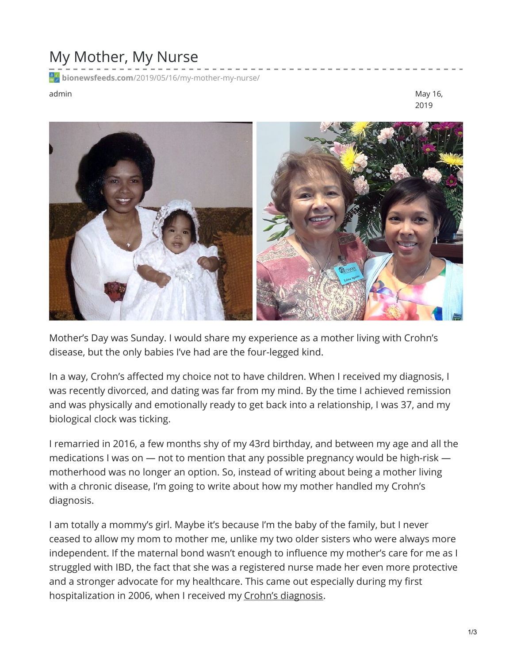## My Mother, My Nurse

**bionewsfeeds.com**[/2019/05/16/my-mother-my-nurse/](https://bionewsfeeds.com/2019/05/16/my-mother-my-nurse/)

admin May 16, 2019



Mother's Day was Sunday. I would share my experience as a mother living with Crohn's disease, but the only babies I've had are the four-legged kind.

In a way, Crohn's affected my choice not to have children. When I received my diagnosis, I was recently divorced, and dating was far from my mind. By the time I achieved remission and was physically and emotionally ready to get back into a relationship, I was 37, and my biological clock was ticking.

I remarried in 2016, a few months shy of my 43rd birthday, and between my age and all the medications I was on — not to mention that any possible pregnancy would be high-risk motherhood was no longer an option. So, instead of writing about being a mother living with a chronic disease, I'm going to write about how my mother handled my Crohn's diagnosis.

I am totally a mommy's girl. Maybe it's because I'm the baby of the family, but I never ceased to allow my mom to mother me, unlike my two older sisters who were always more independent. If the maternal bond wasn't enough to influence my mother's care for me as I struggled with IBD, the fact that she was a registered nurse made her even more protective and a stronger advocate for my healthcare. This came out especially during my first hospitalization in 2006, when I received my Crohn's [diagnosis](https://ibdnewstoday.com/ibd-overview/).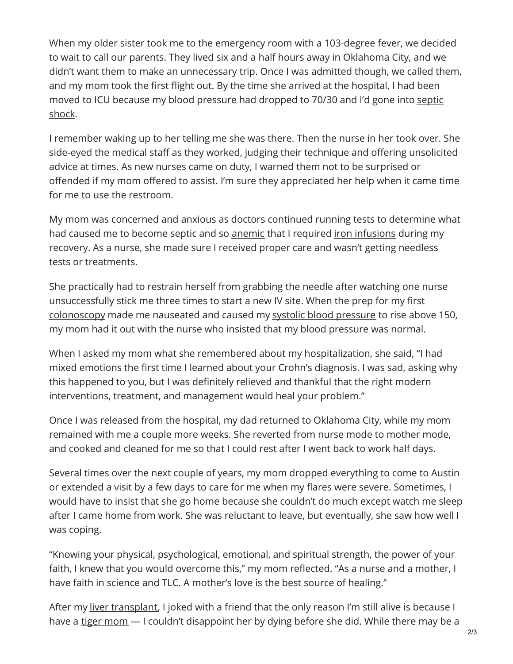When my older sister took me to the emergency room with a 103-degree fever, we decided to wait to call our parents. They lived six and a half hours away in Oklahoma City, and we didn't want them to make an unnecessary trip. Once I was admitted though, we called them, and my mom took the first flight out. By the time she arrived at the hospital, I had been moved to ICU because my blood [pressure](https://medlineplus.gov/ency/article/000668.htm) had dropped to 70/30 and I'd gone into septic shock.

I remember waking up to her telling me she was there. Then the nurse in her took over. She side-eyed the medical staff as they worked, judging their technique and offering unsolicited advice at times. As new nurses came on duty, I warned them not to be surprised or offended if my mom offered to assist. I'm sure they appreciated her help when it came time for me to use the restroom.

My mom was concerned and anxious as doctors continued running tests to determine what had caused me to become septic and so [anemic](https://www.mayoclinic.org/diseases-conditions/anemia/symptoms-causes/syc-20351360) that I required iron [infusions](https://www.healthline.com/health/iron-infusion) during my recovery. As a nurse, she made sure I received proper care and wasn't getting needless tests or treatments.

She practically had to restrain herself from grabbing the needle after watching one nurse unsuccessfully stick me three times to start a new IV site. When the prep for my first [colonoscopy](https://www.mayoclinic.org/tests-procedures/colonoscopy/about/pac-20393569) made me nauseated and caused my systolic blood [pressure](https://www.cdc.gov/bloodpressure/measure.htm) to rise above 150, my mom had it out with the nurse who insisted that my blood pressure was normal.

When I asked my mom what she remembered about my hospitalization, she said, "I had mixed emotions the first time I learned about your Crohn's diagnosis. I was sad, asking why this happened to you, but I was definitely relieved and thankful that the right modern interventions, treatment, and management would heal your problem."

Once I was released from the hospital, my dad returned to Oklahoma City, while my mom remained with me a couple more weeks. She reverted from nurse mode to mother mode, and cooked and cleaned for me so that I could rest after I went back to work half days.

Several times over the next couple of years, my mom dropped everything to come to Austin or extended a visit by a few days to care for me when my flares were severe. Sometimes, I would have to insist that she go home because she couldn't do much except watch me sleep after I came home from work. She was reluctant to leave, but eventually, she saw how well I was coping.

"Knowing your physical, psychological, emotional, and spiritual strength, the power of your faith, I knew that you would overcome this," my mom reflected. "As a nurse and a mother, I have faith in science and TLC. A mother's love is the best source of healing."

After my liver [transplant](https://www.mayoclinic.org/tests-procedures/liver-transplant/about/pac-20384842), I joked with a friend that the only reason I'm still alive is because I have a tiger [mom](https://dictionary.cambridge.org/us/dictionary/english/tiger-mother) — I couldn't disappoint her by dying before she did. While there may be a